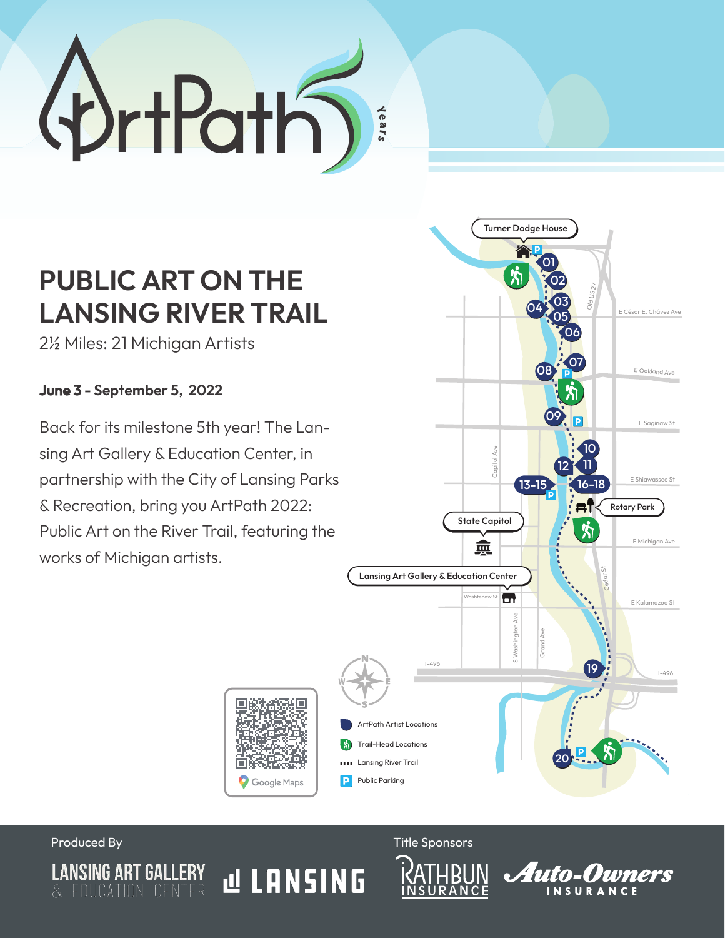

## **PUBLIC ART ON THE LANSING RIVER TRAIL**

2½ Miles: 21 Michigan Artists

**June 3 - September 5, 2022**

Back for its milestone 5th year! The Lansing Art Gallery & Education Center, in partnership with the City of Lansing Parks & Recreation, bring you ArtPath 2022: Public Art on the River Trail, featuring the works of Michigan artists.





Produced By Title Sponsors and Title Sponsors and Title Sponsors and Title Sponsors and Title Sponsors and Title Sponsors and Title Sponsors and Title Sponsors and Title Sponsors and Title Sponsors and Title Sponsors and T

**N LANSING**